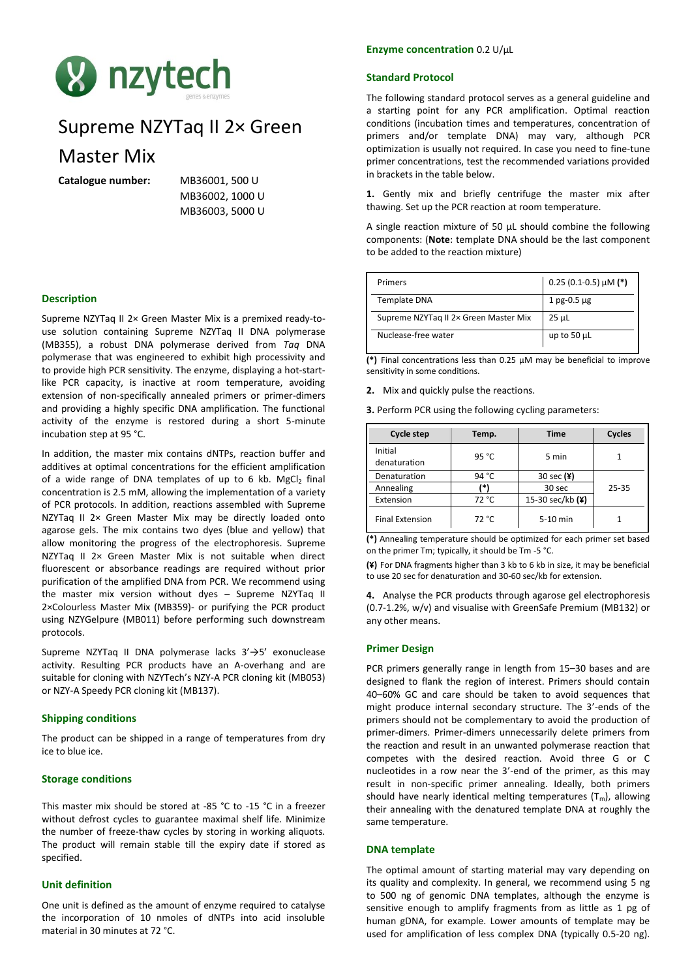

# Supreme NZYTaq II 2× Green

# Master Mix

**Catalogue number:** MB36001, 500 U

MB36002, 1000 U MB36003, 5000 U

# **Description**

Supreme NZYTaq II 2× Green Master Mix is a premixed ready-touse solution containing Supreme NZYTaq II DNA polymerase (MB355), a robust DNA polymerase derived from *Taq* DNA polymerase that was engineered to exhibit high processivity and to provide high PCR sensitivity. The enzyme, displaying a hot-startlike PCR capacity, is inactive at room temperature, avoiding extension of non-specifically annealed primers or primer-dimers and providing a highly specific DNA amplification. The functional activity of the enzyme is restored during a short 5-minute incubation step at 95 °C.

In addition, the master mix contains dNTPs, reaction buffer and additives at optimal concentrations for the efficient amplification of a wide range of DNA templates of up to 6 kb. MgCl<sub>2</sub> final concentration is 2.5 mM, allowing the implementation of a variety of PCR protocols. In addition, reactions assembled with Supreme NZYTaq II 2x Green Master Mix may be directly loaded onto agarose gels. The mix contains two dyes (blue and yellow) that allow monitoring the progress of the electrophoresis. Supreme NZYTaq II 2× Green Master Mix is not suitable when direct fluorescent or absorbance readings are required without prior purification of the amplified DNA from PCR. We recommend using the master mix version without dyes – Supreme NZYTaq II 2×Colourless Master Mix (MB359)- or purifying the PCR product using NZYGelpure (MB011) before performing such downstream protocols.

Supreme NZYTaq II DNA polymerase lacks 3'→5' exonuclease activity. Resulting PCR products have an A-overhang and are suitable for cloning with NZYTech's NZY-A PCR cloning kit (MB053) or NZY-A Speedy PCR cloning kit (MB137).

# **Shipping conditions**

The product can be shipped in a range of temperatures from dry ice to blue ice.

#### **Storage conditions**

This master mix should be stored at -85 °C to -15 °C in a freezer without defrost cycles to guarantee maximal shelf life. Minimize the number of freeze-thaw cycles by storing in working aliquots. The product will remain stable till the expiry date if stored as specified.

# **Unit definition**

One unit is defined as the amount of enzyme required to catalyse the incorporation of 10 nmoles of dNTPs into acid insoluble material in 30 minutes at 72 °C.

# **Enzyme concentration** 0.2 U/μL

#### **Standard Protocol**

The following standard protocol serves as a general guideline and a starting point for any PCR amplification. Optimal reaction conditions (incubation times and temperatures, concentration of primers and/or template DNA) may vary, although PCR optimization is usually not required. In case you need to fine-tune primer concentrations, test the recommended variations provided in brackets in the table below.

**1.** Gently mix and briefly centrifuge the master mix after thawing. Set up the PCR reaction at room temperature.

A single reaction mixture of 50 μL should combine the following components: (**Note**: template DNA should be the last component to be added to the reaction mixture)

| Primers                               | $0.25$ (0.1-0.5) µM (*) |
|---------------------------------------|-------------------------|
| <b>Template DNA</b>                   | $1$ pg-0.5 $\mu$ g      |
| Supreme NZYTag II 2x Green Master Mix | 25 µL                   |
| Nuclease-free water                   | up to 50 $\mu$ L        |

**(\*)** Final concentrations less than 0.25 µM may be beneficial to improve sensitivity in some conditions.

**2.** Mix and quickly pulse the reactions.

**3.** Perform PCR using the following cycling parameters:

| Cycle step              | Temp. | <b>Time</b>      | Cycles |
|-------------------------|-------|------------------|--------|
| Initial<br>denaturation | 95 °C | 5 min            |        |
| Denaturation            | 94 °C | 30 sec $(4)$     |        |
| Annealing               |       | 30 sec           | 25-35  |
| Extension               | 72 °C | 15-30 sec/kb (¥) |        |
| <b>Final Extension</b>  | 72 °C | 5-10 min         |        |

**(\*)** Annealing temperature should be optimized for each primer set based on the primer Tm; typically, it should be Tm -5 °C.

**(¥)** For DNA fragments higher than 3 kb to 6 kb in size, it may be beneficial to use 20 sec for denaturation and 30-60 sec/kb for extension.

**4.** Analyse the PCR products through agarose gel electrophoresis (0.7-1.2%, w/v) and visualise with GreenSafe Premium (MB132) or any other means.

# **Primer Design**

PCR primers generally range in length from 15–30 bases and are designed to flank the region of interest. Primers should contain 40–60% GC and care should be taken to avoid sequences that might produce internal secondary structure. The 3'-ends of the primers should not be complementary to avoid the production of primer-dimers. Primer-dimers unnecessarily delete primers from the reaction and result in an unwanted polymerase reaction that competes with the desired reaction. Avoid three G or C nucleotides in a row near the 3'-end of the primer, as this may result in non-specific primer annealing. Ideally, both primers should have nearly identical melting temperatures  $(T_m)$ , allowing their annealing with the denatured template DNA at roughly the same temperature.

#### **DNA template**

The optimal amount of starting material may vary depending on its quality and complexity. In general, we recommend using 5 ng to 500 ng of genomic DNA templates, although the enzyme is sensitive enough to amplify fragments from as little as 1 pg of human gDNA, for example. Lower amounts of template may be used for amplification of less complex DNA (typically 0.5-20 ng).